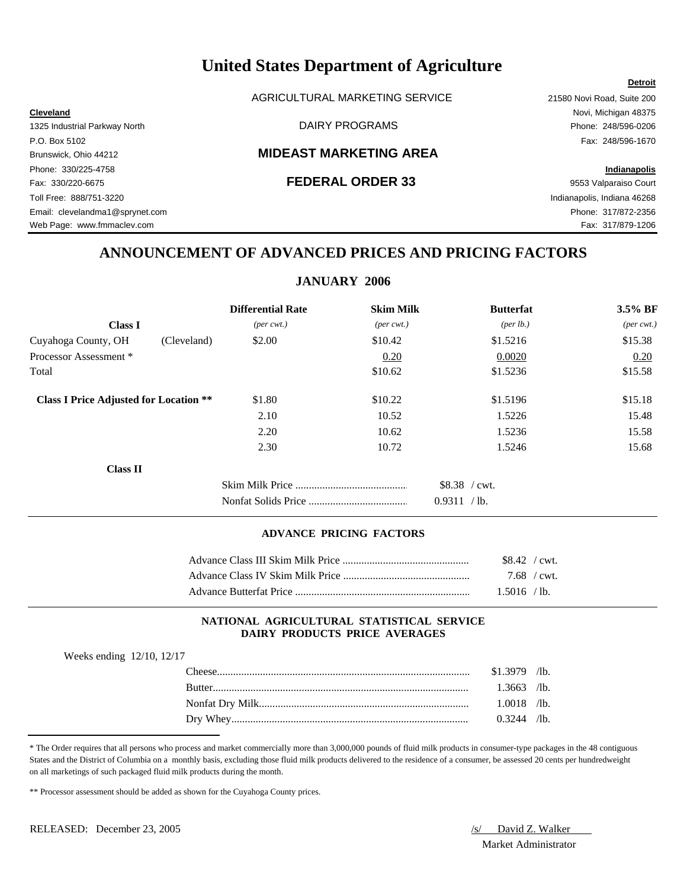AGRICULTURAL MARKETING SERVICE 21580 Novi Road, Suite 200

# Brunswick, Ohio 44212 **MIDEAST MARKETING AREA**

Fax: 330/220-6675 **FEDERAL ORDER 33** 9553 Valparaiso Court Toll Free: 888/751-3220 Indianapolis, Indiana 46268 Email: clevelandma1@sprynet.com Phone: 317/872-2356 Web Page: www.fmmaclev.com Fax: 317/879-1206

**Cleveland** Novi, Michigan 48375 1325 Industrial Parkway North DAIRY PROGRAMS Phone: 248/596-0206 P.O. Box 5102 Fax: 248/596-1670

**Detroit**

# Phone: 330/225-4758 **Indianapolis**

# **ANNOUNCEMENT OF ADVANCED PRICES AND PRICING FACTORS**

# **JANUARY 2006**

|                                               | <b>Differential Rate</b>    | <b>Skim Milk</b>            | <b>Butterfat</b> | 3.5% BF                     |
|-----------------------------------------------|-----------------------------|-----------------------------|------------------|-----------------------------|
| <b>Class I</b>                                | $(\text{per} \text{ cwt.})$ | $(\text{per} \text{ cwt.})$ | (per lb.)        | $(\text{per} \text{ cwt.})$ |
| Cuyahoga County, OH                           | (Cleveland)<br>\$2.00       | \$10.42                     | \$1.5216         | \$15.38                     |
| Processor Assessment *                        |                             | 0.20                        | 0.0020           | 0.20                        |
| Total                                         |                             | \$10.62                     | \$1.5236         | \$15.58                     |
| <b>Class I Price Adjusted for Location **</b> | \$1.80                      | \$10.22                     | \$1.5196         | \$15.18                     |
|                                               | 2.10                        | 10.52                       | 1.5226           | 15.48                       |
|                                               | 2.20                        | 10.62                       | 1.5236           | 15.58                       |
|                                               | 2.30                        | 10.72                       | 1.5246           | 15.68                       |
| <b>Class II</b>                               |                             |                             |                  |                             |
|                                               |                             |                             | \$8.38 / cwt.    |                             |
|                                               |                             |                             | 0.9311 / lb.     |                             |

### **ADVANCE PRICING FACTORS**

| $$8.42$ / cwt. |  |
|----------------|--|
| $7.68$ / cwt.  |  |
| 1.5016 / lb.   |  |

### **NATIONAL AGRICULTURAL STATISTICAL SERVICE DAIRY PRODUCTS PRICE AVERAGES**

| Weeks ending 12/10, 12/17 |  |  |
|---------------------------|--|--|
|---------------------------|--|--|

| `heese      | \$1,3979 | $\sqrt{1}b$ . |
|-------------|----------|---------------|
| Rutter      | .3663    | $\sqrt{1}$ b. |
|             | .0018    | $\sqrt{1}$ b. |
| Whey<br>Drv | 0.3244   | $\sqrt{1}b$ . |

\* The Order requires that all persons who process and market commercially more than 3,000,000 pounds of fluid milk products in consumer-type packages in the 48 contiguous States and the District of Columbia on a monthly basis, excluding those fluid milk products delivered to the residence of a consumer, be assessed 20 cents per hundredweight on all marketings of such packaged fluid milk products during the month.

\*\* Processor assessment should be added as shown for the Cuyahoga County prices.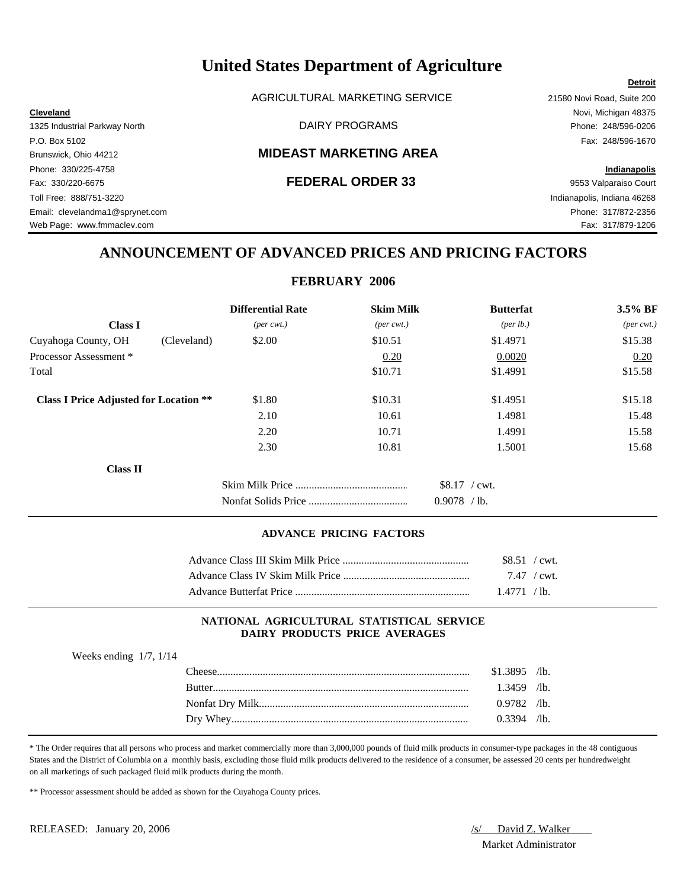AGRICULTURAL MARKETING SERVICE 21580 Novi Road, Suite 200

# Brunswick, Ohio 44212 **MIDEAST MARKETING AREA**

Fax: 330/220-6675 **FEDERAL ORDER 33** 9553 Valparaiso Court Toll Free: 888/751-3220 Indianapolis, Indiana 46268 Email: clevelandma1@sprynet.com Phone: 317/872-2356 Web Page: www.fmmaclev.com Fax: 317/879-1206

**Cleveland** Novi, Michigan 48375 1325 Industrial Parkway North DAIRY PROGRAMS Phone: 248/596-0206 P.O. Box 5102 Fax: 248/596-1670

**Detroit**

# Phone: 330/225-4758 **Indianapolis**

# **ANNOUNCEMENT OF ADVANCED PRICES AND PRICING FACTORS**

# **FEBRUARY 2006**

|                                               |             | <b>Differential Rate</b>    | <b>Skim Milk</b>            | <b>Butterfat</b>                  | 3.5% BF                     |
|-----------------------------------------------|-------------|-----------------------------|-----------------------------|-----------------------------------|-----------------------------|
| <b>Class I</b>                                |             | $(\text{per} \text{ cwt.})$ | $(\text{per} \text{ cwt.})$ | ${\rm (per \, lb.)}$              | $(\text{per} \text{ cwt.})$ |
| Cuyahoga County, OH                           | (Cleveland) | \$2.00                      | \$10.51                     | \$1.4971                          | \$15.38                     |
| Processor Assessment *                        |             |                             | 0.20                        | 0.0020                            | 0.20                        |
| Total                                         |             |                             | \$10.71                     | \$1.4991                          | \$15.58                     |
| <b>Class I Price Adjusted for Location **</b> |             | \$1.80                      | \$10.31                     | \$1.4951                          | \$15.18                     |
|                                               |             | 2.10                        | 10.61                       | 1.4981                            | 15.48                       |
|                                               |             | 2.20                        | 10.71                       | 1.4991                            | 15.58                       |
|                                               |             | 2.30                        | 10.81                       | 1.5001                            | 15.68                       |
| <b>Class II</b>                               |             |                             |                             |                                   |                             |
|                                               |             |                             |                             | $$8.17$ / cwt.<br>0.9078<br>/ lb. |                             |

### **ADVANCE PRICING FACTORS**

| \$8.51 / cwt. |  |
|---------------|--|
| 7.47 / cwt.   |  |
| 1.4771 / lb.  |  |

### **NATIONAL AGRICULTURAL STATISTICAL SERVICE DAIRY PRODUCTS PRICE AVERAGES**

| Weeks ending $1/7$ , $1/14$ |  |
|-----------------------------|--|
|                             |  |

| `heese      | \$1.3895 | $\sqrt{1}$ b. |
|-------------|----------|---------------|
| Rutter      | 3459     | $\sqrt{1}$ b. |
|             | 0.9782   | $\sqrt{1}$ b. |
| Whey<br>Drv | በ 3394   | $\sqrt{1}$ b. |

\* The Order requires that all persons who process and market commercially more than 3,000,000 pounds of fluid milk products in consumer-type packages in the 48 contiguous States and the District of Columbia on a monthly basis, excluding those fluid milk products delivered to the residence of a consumer, be assessed 20 cents per hundredweight on all marketings of such packaged fluid milk products during the month.

\*\* Processor assessment should be added as shown for the Cuyahoga County prices.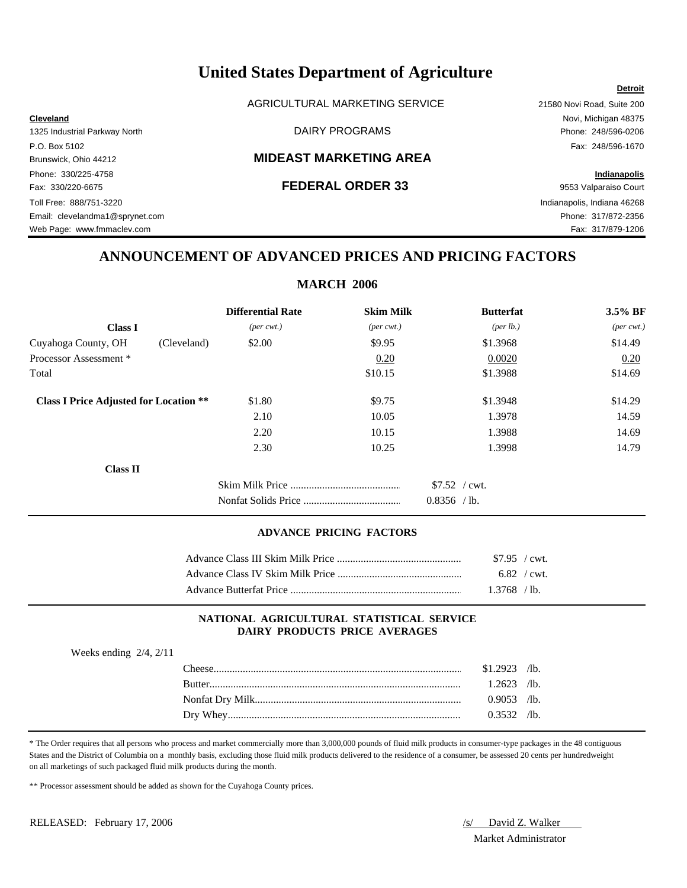AGRICULTURAL MARKETING SERVICE 21580 Novi Road, Suite 200

### Brunswick, Ohio 44212 **MIDEAST MARKETING AREA**

Phone: 330/225-4758 **Indianapolis** Fax: 330/220-6675 **FEDERAL ORDER 33** 9553 Valparaiso Court Toll Free: 888/751-3220 Indianapolis, Indiana 46268 Email: clevelandma1@sprynet.com Phone: 317/872-2356 Web Page: www.fmmaclev.com example of the example of the example of the example of the example of the example of the example of the example of the example of the example of the example of the example of the example of the

**Cleveland** Novi, Michigan 48375 1325 Industrial Parkway North DAIRY PROGRAMS Phone: 248/596-0206 P.O. Box 5102 Fax: 248/596-1670

**Detroit**

# **ANNOUNCEMENT OF ADVANCED PRICES AND PRICING FACTORS**

# **MARCH 2006**

|                                               | <b>Differential Rate</b>    | <b>Skim Milk</b>            | <b>Butterfat</b>     | 3.5% BF                     |
|-----------------------------------------------|-----------------------------|-----------------------------|----------------------|-----------------------------|
| <b>Class I</b>                                | $(\text{per} \text{ cwt.})$ | $(\text{per} \text{ cwt.})$ | ${\rm (per \, lb.)}$ | $(\text{per} \text{ cwt.})$ |
| Cuyahoga County, OH<br>(Cleveland)            | \$2.00                      | \$9.95                      | \$1.3968             | \$14.49                     |
| Processor Assessment *                        |                             | 0.20                        | 0.0020               | 0.20                        |
| Total                                         |                             | \$10.15                     | \$1.3988             | \$14.69                     |
| <b>Class I Price Adjusted for Location **</b> | \$1.80                      | \$9.75                      | \$1.3948             | \$14.29                     |
|                                               | 2.10                        | 10.05                       | 1.3978               | 14.59                       |
|                                               | 2.20                        | 10.15                       | 1.3988               | 14.69                       |
|                                               | 2.30                        | 10.25                       | 1.3998               | 14.79                       |
| <b>Class II</b>                               |                             |                             |                      |                             |
|                                               |                             |                             | $$7.52$ / cwt.       |                             |
|                                               |                             |                             | 0.8356<br>$/1b$ .    |                             |

### **ADVANCE PRICING FACTORS**

| $$7.95$ / cwt.        |  |
|-----------------------|--|
| $6.82 / \text{cwt}$ . |  |
| $1.3768$ /lb.         |  |

### **NATIONAL AGRICULTURAL STATISTICAL SERVICE DAIRY PRODUCTS PRICE AVERAGES**

Weeks ending 2/4, 2/11

| $The \epsilon$ | \$1.2923 | $\sqrt{1}$ b. |
|----------------|----------|---------------|
| Rutter         | 2623     | $\sqrt{1}$ b. |
|                | 0.9053   | $\sqrt{1}$ b. |
| Dry Whey.      | 0.3532   | $\sqrt{1}$ b. |

\* The Order requires that all persons who process and market commercially more than 3,000,000 pounds of fluid milk products in consumer-type packages in the 48 contiguous States and the District of Columbia on a monthly basis, excluding those fluid milk products delivered to the residence of a consumer, be assessed 20 cents per hundredweight on all marketings of such packaged fluid milk products during the month.

\*\* Processor assessment should be added as shown for the Cuyahoga County prices.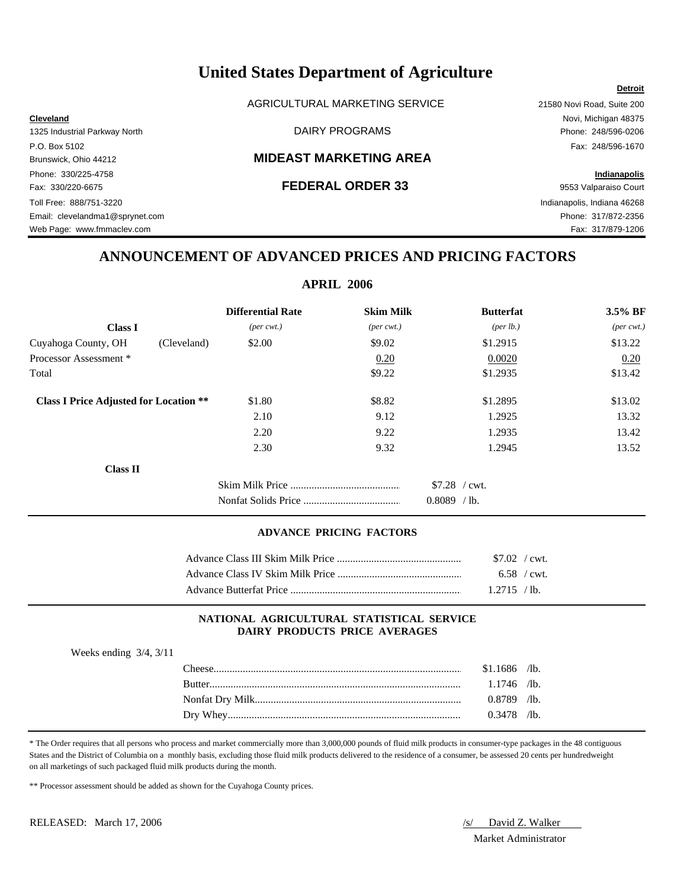AGRICULTURAL MARKETING SERVICE 21580 Novi Road, Suite 200

## Brunswick, Ohio 44212 **MIDEAST MARKETING AREA**

Phone: 330/225-4758 **Indianapolis** Fax: 330/220-6675 **FEDERAL ORDER 33** 9553 Valparaiso Court Toll Free: 888/751-3220 Indianapolis, Indiana 46268 Email: clevelandma1@sprynet.com Phone: 317/872-2356 Web Page: www.fmmaclev.com example of the example of the example of the example of the example of the example of the example of the example of the example of the example of the example of the example of the example of the

# **Cleveland** Novi, Michigan 48375 1325 Industrial Parkway North DAIRY PROGRAMS Phone: 248/596-0206 P.O. Box 5102 Fax: 248/596-1670

**Detroit**

# **ANNOUNCEMENT OF ADVANCED PRICES AND PRICING FACTORS**

## **APRIL 2006**

|                                               | <b>Differential Rate</b>    | <b>Skim Milk</b>            | <b>Butterfat</b>   | $3.5\%$ BF                  |
|-----------------------------------------------|-----------------------------|-----------------------------|--------------------|-----------------------------|
| <b>Class I</b>                                | $(\text{per} \text{ cwt.})$ | $(\text{per} \text{ cwt.})$ | $(\text{per lb.})$ | $(\text{per} \text{ cwt.})$ |
| Cuyahoga County, OH<br>(Cleveland)            | \$2.00                      | \$9.02                      | \$1.2915           | \$13.22                     |
| Processor Assessment *                        |                             | 0.20                        | 0.0020             | 0.20                        |
| Total                                         |                             | \$9.22                      | \$1.2935           | \$13.42                     |
| <b>Class I Price Adjusted for Location **</b> | \$1.80                      | \$8.82                      | \$1.2895           | \$13.02                     |
|                                               | 2.10                        | 9.12                        | 1.2925             | 13.32                       |
|                                               | 2.20                        | 9.22                        | 1.2935             | 13.42                       |
|                                               | 2.30                        | 9.32                        | 1.2945             | 13.52                       |
| <b>Class II</b>                               |                             |                             |                    |                             |
|                                               |                             |                             | $$7.28$ / cwt.     |                             |
|                                               |                             |                             | 0.8089<br>$/1b$ .  |                             |

### **ADVANCE PRICING FACTORS**

| $$7.02$ / cwt. |  |
|----------------|--|
| 6.58 / cwt.    |  |
| 1.2715 / lb.   |  |

# **NATIONAL AGRICULTURAL STATISTICAL SERVICE DAIRY PRODUCTS PRICE AVERAGES**

Weeks ending 3/4, 3/11

| `heese           | .1686  | $\sqrt{1}$ b. |
|------------------|--------|---------------|
| <b>Butter</b>    | 746    | /lb.          |
| Nonfat Dry Milk. | 0.8789 | $\sqrt{1}$ b. |
| Dry Whey         | 0.3478 | $\sqrt{1}$ b. |

\* The Order requires that all persons who process and market commercially more than 3,000,000 pounds of fluid milk products in consumer-type packages in the 48 contiguous States and the District of Columbia on a monthly basis, excluding those fluid milk products delivered to the residence of a consumer, be assessed 20 cents per hundredweight on all marketings of such packaged fluid milk products during the month.

\*\* Processor assessment should be added as shown for the Cuyahoga County prices.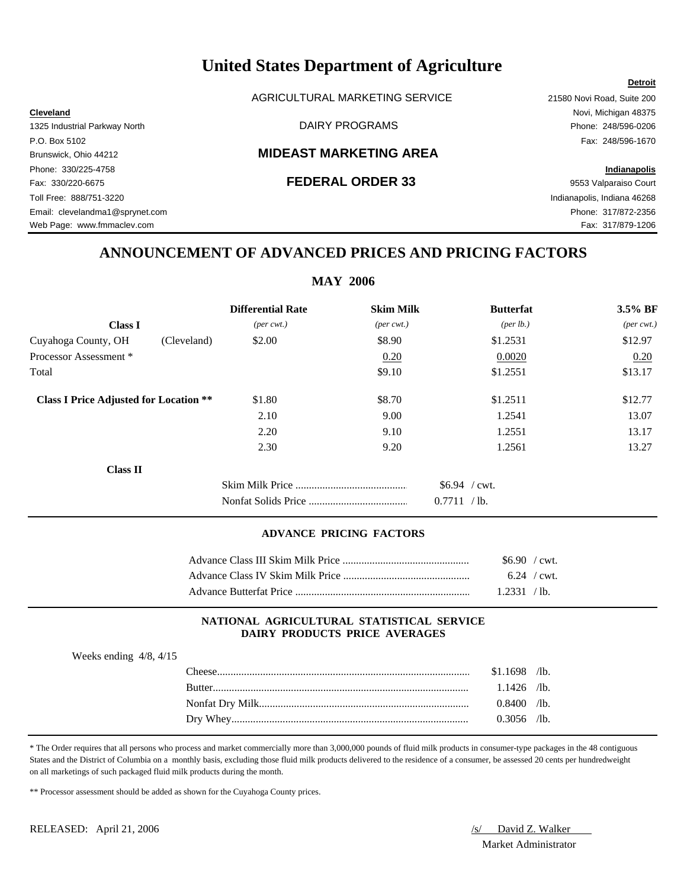AGRICULTURAL MARKETING SERVICE 21580 Novi Road, Suite 200

# Brunswick, Ohio 44212 **MIDEAST MARKETING AREA**

Fax: 330/220-6675 **FEDERAL ORDER 33** 9553 Valparaiso Court Toll Free: 888/751-3220 Indianapolis, Indiana 46268 Email: clevelandma1@sprynet.com Phone: 317/872-2356 Web Page: www.fmmaclev.com **Fax: 317/879-1206** 

**Cleveland** Novi, Michigan 48375 1325 Industrial Parkway North DAIRY PROGRAMS Phone: 248/596-0206 P.O. Box 5102 Fax: 248/596-1670

**Detroit**

# Phone: 330/225-4758 **Indianapolis**

# **ANNOUNCEMENT OF ADVANCED PRICES AND PRICING FACTORS**

# **MAY 2006**

|                                               |             | <b>Differential Rate</b>    | <b>Skim Milk</b>            | <b>Butterfat</b>                    | 3.5% BF                     |
|-----------------------------------------------|-------------|-----------------------------|-----------------------------|-------------------------------------|-----------------------------|
| <b>Class I</b>                                |             | $(\text{per} \text{ cwt.})$ | $(\text{per} \text{ cwt.})$ | (per lb.)                           | $(\text{per} \text{ cwt.})$ |
| Cuyahoga County, OH                           | (Cleveland) | \$2.00                      | \$8.90                      | \$1.2531                            | \$12.97                     |
| Processor Assessment *                        |             |                             | 0.20                        | 0.0020                              | 0.20                        |
| Total                                         |             |                             | \$9.10                      | \$1.2551                            | \$13.17                     |
| <b>Class I Price Adjusted for Location **</b> |             | \$1.80                      | \$8.70                      | \$1.2511                            | \$12.77                     |
|                                               |             | 2.10                        | 9.00                        | 1.2541                              | 13.07                       |
|                                               |             | 2.20                        | 9.10                        | 1.2551                              | 13.17                       |
|                                               |             | 2.30                        | 9.20                        | 1.2561                              | 13.27                       |
| <b>Class II</b>                               |             |                             |                             |                                     |                             |
|                                               |             |                             |                             | $$6.94$ / cwt.<br>0.7711<br>$/$ lb. |                             |

### **ADVANCE PRICING FACTORS**

| $$6.90$ / cwt. |  |
|----------------|--|
| $6.24$ / cwt.  |  |
| 1.2331 / lb.   |  |

### **NATIONAL AGRICULTURAL STATISTICAL SERVICE DAIRY PRODUCTS PRICE AVERAGES**

| Weeks ending $4/8$ , $4/15$ |  |
|-----------------------------|--|
|                             |  |

| `heese    | .1698<br>-81 | $\sqrt{1}$    |
|-----------|--------------|---------------|
| Rutter    | .1426        | $\sqrt{1}$ b. |
|           | 0.8400       | $\sqrt{1}$ b. |
| Dry Whey. | 0.3056       | $\sqrt{1}$    |

\* The Order requires that all persons who process and market commercially more than 3,000,000 pounds of fluid milk products in consumer-type packages in the 48 contiguous States and the District of Columbia on a monthly basis, excluding those fluid milk products delivered to the residence of a consumer, be assessed 20 cents per hundredweight on all marketings of such packaged fluid milk products during the month.

\*\* Processor assessment should be added as shown for the Cuyahoga County prices.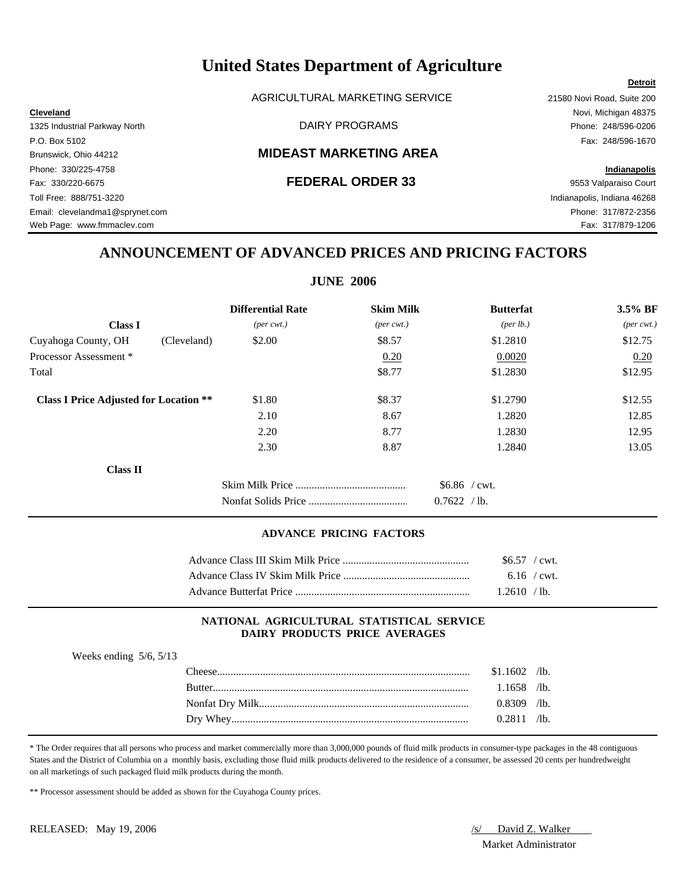AGRICULTURAL MARKETING SERVICE 21580 Novi Road, Suite 200

**Cleveland** Novi, Michigan 48375 1325 Industrial Parkway North DAIRY PROGRAMS Phone: 248/596-0206

# Brunswick, Ohio 44212 **MIDEAST MARKETING AREA**

Fax: 330/220-6675 **FEDERAL ORDER 33** 9553 Valparaiso Court Toll Free: 888/751-3220 Indianapolis, Indiana 46268 Email: clevelandma1@sprynet.com Phone: 317/872-2356 Web Page: www.fmmaclev.com **Fax: 317/879-1206** 

P.O. Box 5102 Fax: 248/596-1670 Phone: 330/225-4758 **Indianapolis**

**ANNOUNCEMENT OF ADVANCED PRICES AND PRICING FACTORS**

# **JUNE 2006**

|                                               | <b>Differential Rate</b>    | <b>Skim Milk</b>            | <b>Butterfat</b>                  | 3.5% BF                     |
|-----------------------------------------------|-----------------------------|-----------------------------|-----------------------------------|-----------------------------|
| <b>Class I</b>                                | $(\text{per} \text{ cwt.})$ | $(\text{per} \text{ cwt.})$ | (per lb.)                         | $(\text{per} \text{ cwt.})$ |
| Cuyahoga County, OH<br>(Cleveland)            | \$2.00                      | \$8.57                      | \$1.2810                          | \$12.75                     |
| Processor Assessment *                        |                             | 0.20                        | 0.0020                            | 0.20                        |
| Total                                         |                             | \$8.77                      | \$1.2830                          | \$12.95                     |
| <b>Class I Price Adjusted for Location **</b> | \$1.80                      | \$8.37                      | \$1.2790                          | \$12.55                     |
|                                               | 2.10                        | 8.67                        | 1.2820                            | 12.85                       |
|                                               | 2.20                        | 8.77                        | 1.2830                            | 12.95                       |
|                                               | 2.30                        | 8.87                        | 1.2840                            | 13.05                       |
| Class II                                      |                             |                             |                                   |                             |
|                                               |                             |                             | $$6.86$ / cwt.<br>0.7622<br>/ lb. |                             |

# **ADVANCE PRICING FACTORS**

| $$6.57$ / cwt. |  |
|----------------|--|
| $6.16$ / cwt.  |  |
| 1.2610 / lb.   |  |

Dry Whey....................................................................................................................................................................... 0.2811 /lb.

### **NATIONAL AGRICULTURAL STATISTICAL SERVICE DAIRY PRODUCTS PRICE AVERAGES**

| Weeks ending $5/6$ , $5/13$ |               |              |               |
|-----------------------------|---------------|--------------|---------------|
|                             | `heese        | \$1.1602     | $\sqrt{1}$ b. |
|                             | <b>Butter</b> | $.1658$ /lb. |               |
|                             |               | 0.8309       | $\sqrt{1}$ b. |

\* The Order requires that all persons who process and market commercially more than 3,000,000 pounds of fluid milk products in consumer-type packages in the 48 contiguous States and the District of Columbia on a monthly basis, excluding those fluid milk products delivered to the residence of a consumer, be assessed 20 cents per hundredweight on all marketings of such packaged fluid milk products during the month.

\*\* Processor assessment should be added as shown for the Cuyahoga County prices.

Market Administrator

### **Detroit**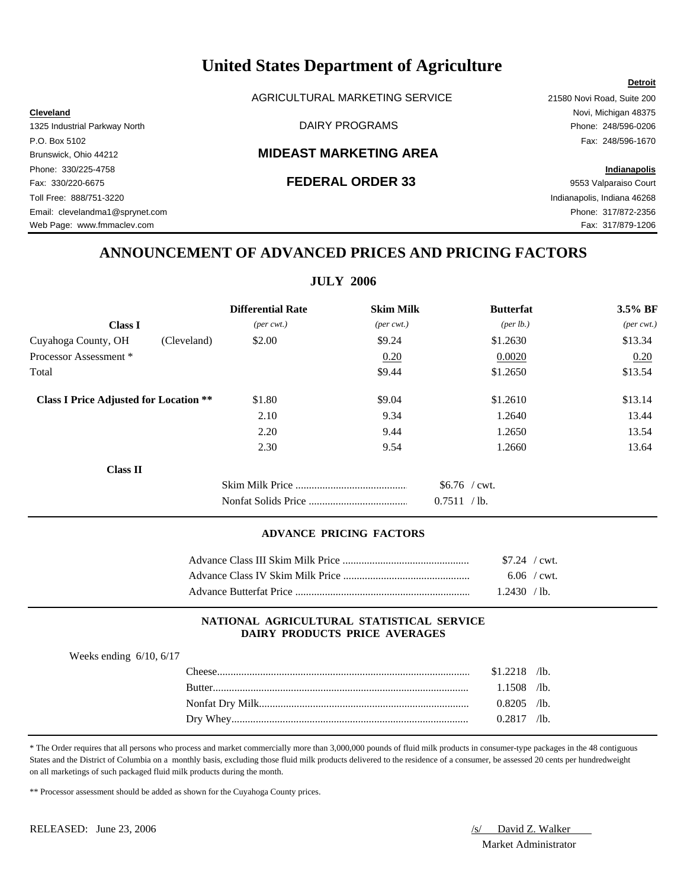AGRICULTURAL MARKETING SERVICE 21580 Novi Road, Suite 200

**Cleveland** Novi, Michigan 48375 1325 Industrial Parkway North DAIRY PROGRAMS Phone: 248/596-0206

# Brunswick, Ohio 44212 **MIDEAST MARKETING AREA**

Fax: 330/220-6675 **FEDERAL ORDER 33** 9553 Valparaiso Court Toll Free: 888/751-3220 Indianapolis, Indiana 46268 Email: clevelandma1@sprynet.com Phone: 317/872-2356 Web Page: www.fmmaclev.com **Fax: 317/879-1206** 

P.O. Box 5102 Fax: 248/596-1670 Phone: 330/225-4758 **Indianapolis**

**Detroit**

# **ANNOUNCEMENT OF ADVANCED PRICES AND PRICING FACTORS**

# **JULY 2006**

|                                               |             | <b>Differential Rate</b>    | <b>Skim Milk</b>            | <b>Butterfat</b>                          | 3.5% BF                     |
|-----------------------------------------------|-------------|-----------------------------|-----------------------------|-------------------------------------------|-----------------------------|
| <b>Class I</b>                                |             | $(\text{per} \text{ cwt.})$ | $(\text{per} \text{ cwt.})$ | (per lb.)                                 | $(\text{per} \text{ cwt.})$ |
| Cuyahoga County, OH                           | (Cleveland) | \$2.00                      | \$9.24                      | \$1.2630                                  | \$13.34                     |
| Processor Assessment *                        |             |                             | 0.20                        | 0.0020                                    | 0.20                        |
| Total                                         |             |                             | \$9.44                      | \$1.2650                                  | \$13.54                     |
| <b>Class I Price Adjusted for Location **</b> |             | \$1.80                      | \$9.04                      | \$1.2610                                  | \$13.14                     |
|                                               |             | 2.10                        | 9.34                        | 1.2640                                    | 13.44                       |
|                                               |             | 2.20                        | 9.44                        | 1.2650                                    | 13.54                       |
|                                               |             | 2.30                        | 9.54                        | 1.2660                                    | 13.64                       |
| <b>Class II</b>                               |             |                             |                             |                                           |                             |
|                                               |             |                             |                             | $$6.76$ / cwt.<br>$\sqrt{1}$ b.<br>0.7511 |                             |

### **ADVANCE PRICING FACTORS**

| $$7.24$ / cwt. |  |
|----------------|--|
| $6.06$ / cwt.  |  |
| 1.2430 / lb.   |  |

### **NATIONAL AGRICULTURAL STATISTICAL SERVICE DAIRY PRODUCTS PRICE AVERAGES**

| Weeks ending $6/10$ , $6/17$ |               |                |      |
|------------------------------|---------------|----------------|------|
|                              | ' 'heese'     | $$1.2218$ /lb. |      |
|                              | <b>Butter</b> | $1.1508$ /lb.  |      |
|                              |               | $0.8205$ /lb.  |      |
|                              |               | J 2817         | /lb. |

\* The Order requires that all persons who process and market commercially more than 3,000,000 pounds of fluid milk products in consumer-type packages in the 48 contiguous States and the District of Columbia on a monthly basis, excluding those fluid milk products delivered to the residence of a consumer, be assessed 20 cents per hundredweight on all marketings of such packaged fluid milk products during the month.

\*\* Processor assessment should be added as shown for the Cuyahoga County prices.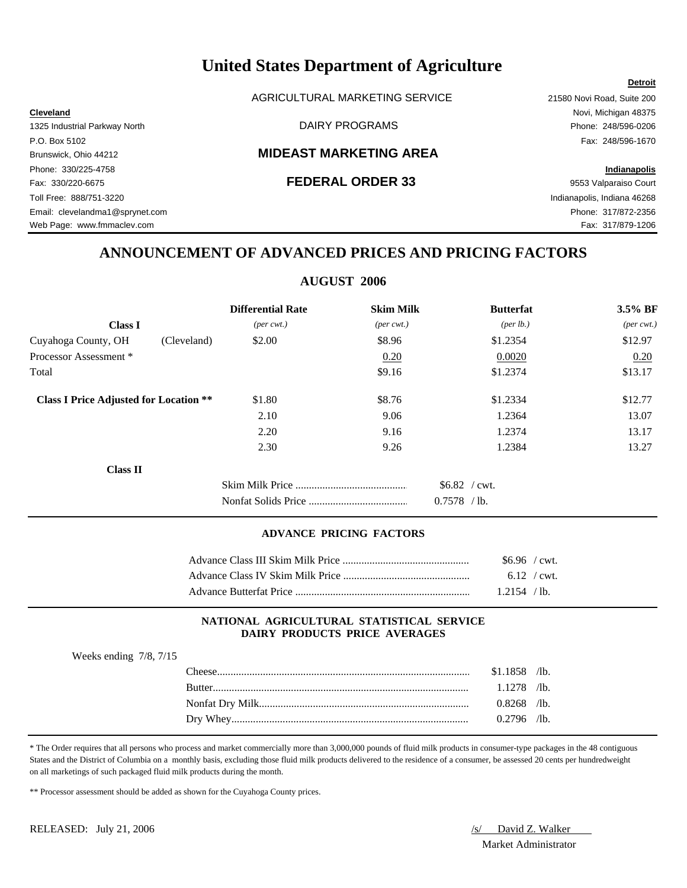AGRICULTURAL MARKETING SERVICE 21580 Novi Road, Suite 200

# Brunswick, Ohio 44212 **MIDEAST MARKETING AREA**

Fax: 330/220-6675 **FEDERAL ORDER 33** 9553 Valparaiso Court Toll Free: 888/751-3220 Indianapolis, Indiana 46268 Email: clevelandma1@sprynet.com Phone: 317/872-2356 Web Page: www.fmmaclev.com **Fax: 317/879-1206** 

**Cleveland** Novi, Michigan 48375 1325 Industrial Parkway North **Example 248/596-0206** DAIRY PROGRAMS **Phone: 248/596-0206** P.O. Box 5102 Fax: 248/596-1670

**Detroit**

# Phone: 330/225-4758 **Indianapolis**

# **ANNOUNCEMENT OF ADVANCED PRICES AND PRICING FACTORS**

# **AUGUST 2006**

|                                               |             | <b>Differential Rate</b>    | <b>Skim Milk</b>            | <b>Butterfat</b>                    | 3.5% BF                     |
|-----------------------------------------------|-------------|-----------------------------|-----------------------------|-------------------------------------|-----------------------------|
| <b>Class I</b>                                |             | $(\text{per} \text{ cwt.})$ | $(\text{per} \text{ cwt.})$ | (per lb.)                           | $(\text{per} \text{ cwt.})$ |
| Cuyahoga County, OH                           | (Cleveland) | \$2.00                      | \$8.96                      | \$1.2354                            | \$12.97                     |
| Processor Assessment *                        |             |                             | 0.20                        | 0.0020                              | 0.20                        |
| Total                                         |             |                             | \$9.16                      | \$1.2374                            | \$13.17                     |
| <b>Class I Price Adjusted for Location **</b> |             | \$1.80                      | \$8.76                      | \$1.2334                            | \$12.77                     |
|                                               |             | 2.10                        | 9.06                        | 1.2364                              | 13.07                       |
|                                               |             | 2.20                        | 9.16                        | 1.2374                              | 13.17                       |
|                                               |             | 2.30                        | 9.26                        | 1.2384                              | 13.27                       |
| <b>Class II</b>                               |             |                             |                             |                                     |                             |
|                                               |             |                             |                             | $$6.82$ / cwt.<br>0.7578<br>$/$ lb. |                             |

### **ADVANCE PRICING FACTORS**

| \$6.96 / cwt.  |  |
|----------------|--|
| $6.12$ / cwt.  |  |
| $1.2154$ / lb. |  |

### **NATIONAL AGRICULTURAL STATISTICAL SERVICE DAIRY PRODUCTS PRICE AVERAGES**

| Weeks ending $7/8$ , $7/15$ |               |                |  |
|-----------------------------|---------------|----------------|--|
|                             | `heese        | $$1.1858$ /lb. |  |
|                             | <b>Butter</b> | $1.1278$ /lb.  |  |
|                             |               | $0.8268$ /lb.  |  |
|                             |               | $0.2796$ /lb.  |  |

\* The Order requires that all persons who process and market commercially more than 3,000,000 pounds of fluid milk products in consumer-type packages in the 48 contiguous States and the District of Columbia on a monthly basis, excluding those fluid milk products delivered to the residence of a consumer, be assessed 20 cents per hundredweight on all marketings of such packaged fluid milk products during the month.

\*\* Processor assessment should be added as shown for the Cuyahoga County prices.

Weeks ending 7/8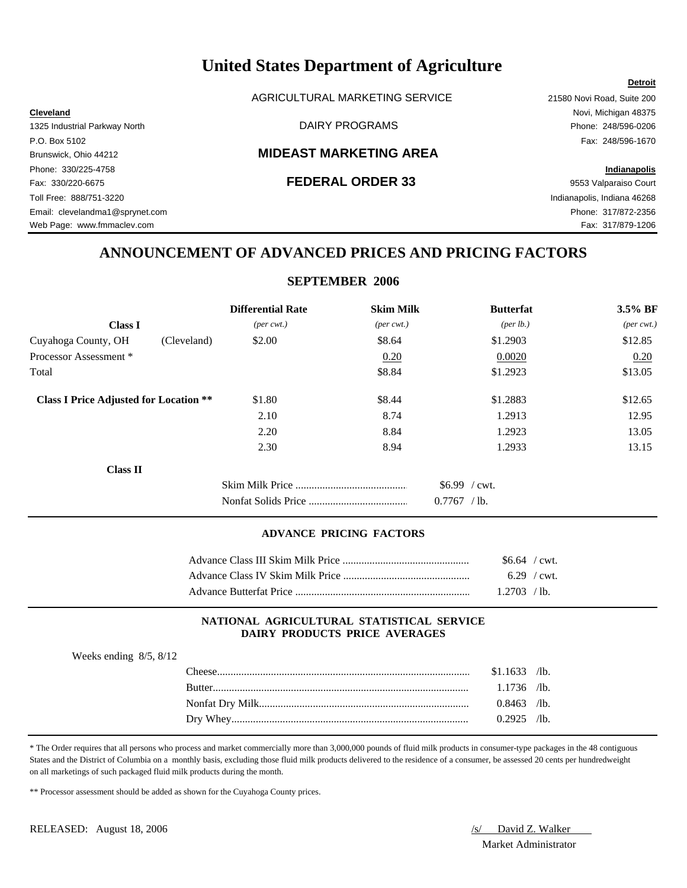AGRICULTURAL MARKETING SERVICE 21580 Novi Road, Suite 200

# Brunswick, Ohio 44212 **MIDEAST MARKETING AREA**

Fax: 330/220-6675 **FEDERAL ORDER 33** 9553 Valparaiso Court Toll Free: 888/751-3220 Indianapolis, Indiana 46268 Email: clevelandma1@sprynet.com Phone: 317/872-2356 Web Page: www.fmmaclev.com **Fax: 317/879-1206** 

**Cleveland** Novi, Michigan 48375 1325 Industrial Parkway North DAIRY PROGRAMS Phone: 248/596-0206 P.O. Box 5102 Fax: 248/596-1670

**Detroit**

# Phone: 330/225-4758 **Indianapolis**

# **ANNOUNCEMENT OF ADVANCED PRICES AND PRICING FACTORS**

# **SEPTEMBER 2006**

|                                               | <b>Differential Rate</b>    | <b>Skim Milk</b>            | <b>Butterfat</b>                    | $3.5\%$ BF                  |
|-----------------------------------------------|-----------------------------|-----------------------------|-------------------------------------|-----------------------------|
| <b>Class I</b>                                | $(\text{per} \text{ cwt.})$ | $(\text{per} \text{ cwt.})$ | (per lb.)                           | $(\text{per} \text{ cwt.})$ |
| Cuyahoga County, OH<br>(Cleveland)            | \$2.00                      | \$8.64                      | \$1.2903                            | \$12.85                     |
| Processor Assessment *                        |                             | 0.20                        | 0.0020                              | 0.20                        |
| Total                                         |                             | \$8.84                      | \$1.2923                            | \$13.05                     |
| <b>Class I Price Adjusted for Location **</b> | \$1.80                      | \$8.44                      | \$1.2883                            | \$12.65                     |
|                                               | 2.10                        | 8.74                        | 1.2913                              | 12.95                       |
|                                               | 2.20                        | 8.84                        | 1.2923                              | 13.05                       |
|                                               | 2.30                        | 8.94                        | 1.2933                              | 13.15                       |
| <b>Class II</b>                               |                             |                             |                                     |                             |
|                                               |                             |                             | $$6.99$ / cwt.<br>0.7767<br>$/$ lb. |                             |

### **ADVANCE PRICING FACTORS**

| $$6.64$ / cwt. |  |
|----------------|--|
| $6.29$ / cwt.  |  |
| $1.2703$ /lb.  |  |

### **NATIONAL AGRICULTURAL STATISTICAL SERVICE DAIRY PRODUCTS PRICE AVERAGES**

| Weeks ending $8/5$ , $8/12$ |        |                |               |
|-----------------------------|--------|----------------|---------------|
|                             | `heese | $$1.1633$ /lb. |               |
|                             | Rutter | $1.1736$ /lb.  |               |
|                             |        | $0.8463$ /lb.  |               |
|                             |        | .2925          | $\sqrt{1}$ b. |

\* The Order requires that all persons who process and market commercially more than 3,000,000 pounds of fluid milk products in consumer-type packages in the 48 contiguous States and the District of Columbia on a monthly basis, excluding those fluid milk products delivered to the residence of a consumer, be assessed 20 cents per hundredweight on all marketings of such packaged fluid milk products during the month.

\*\* Processor assessment should be added as shown for the Cuyahoga County prices.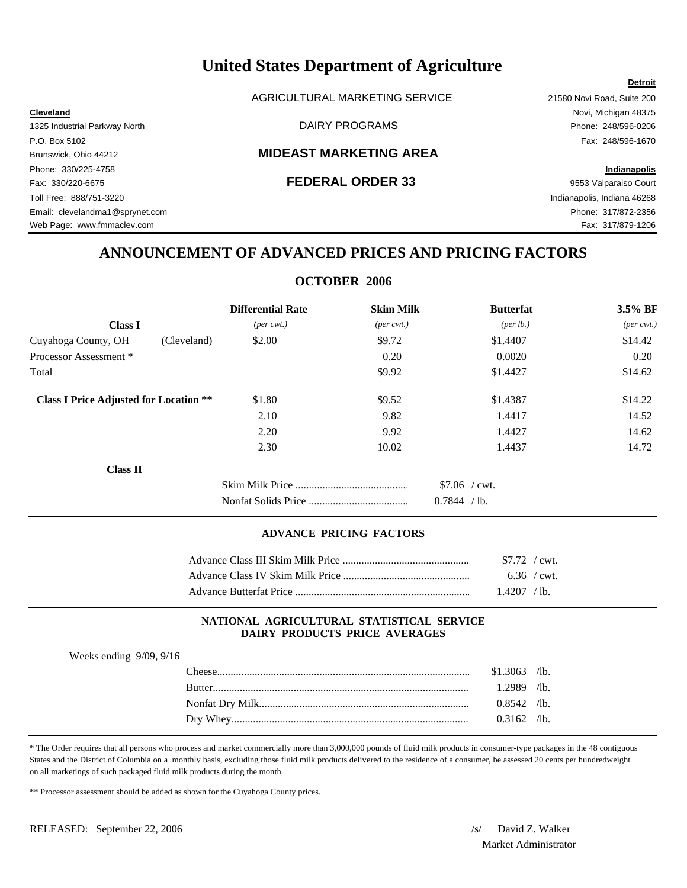AGRICULTURAL MARKETING SERVICE 21580 Novi Road, Suite 200

Brunswick, Ohio 44212 **MIDEAST MARKETING AREA**

Phone: 330/225-4758 **Indianapolis** Fax: 330/220-6675 **FEDERAL ORDER 33** 9553 Valparaiso Court Toll Free: 888/751-3220 Indianapolis, Indiana 46268 Email: clevelandma1@sprynet.com Phone: 317/872-2356 Web Page: www.fmmaclev.com **Fax: 317/879-1206** 

**Cleveland** Novi, Michigan 48375 1325 Industrial Parkway North **Example 248/596-0206** DAIRY PROGRAMS **Phone: 248/596-0206** P.O. Box 5102 Fax: 248/596-1670

**Detroit**

# **ANNOUNCEMENT OF ADVANCED PRICES AND PRICING FACTORS**

# **OCTOBER 2006**

|                                               |             | <b>Differential Rate</b>    | <b>Skim Milk</b>            | <b>Butterfat</b>                    | 3.5% BF                     |
|-----------------------------------------------|-------------|-----------------------------|-----------------------------|-------------------------------------|-----------------------------|
| <b>Class I</b>                                |             | $(\text{per} \text{ cwt.})$ | $(\text{per} \text{ cwt.})$ | (per lb.)                           | $(\text{per} \text{ cwt.})$ |
| Cuyahoga County, OH                           | (Cleveland) | \$2.00                      | \$9.72                      | \$1.4407                            | \$14.42                     |
| Processor Assessment *                        |             |                             | 0.20                        | 0.0020                              | 0.20                        |
| Total                                         |             |                             | \$9.92                      | \$1.4427                            | \$14.62                     |
| <b>Class I Price Adjusted for Location **</b> |             | \$1.80                      | \$9.52                      | \$1.4387                            | \$14.22                     |
|                                               |             | 2.10                        | 9.82                        | 1.4417                              | 14.52                       |
|                                               |             | 2.20                        | 9.92                        | 1.4427                              | 14.62                       |
|                                               |             | 2.30                        | 10.02                       | 1.4437                              | 14.72                       |
| Class II                                      |             |                             |                             |                                     |                             |
|                                               |             |                             |                             | $$7.06$ / cwt.<br>0.7844<br>$/$ lb. |                             |

# **ADVANCE PRICING FACTORS**

| $$7.72$ / cwt. |  |
|----------------|--|
| $6.36$ / cwt.  |  |
| $.4207$ /lb.   |  |

### **NATIONAL AGRICULTURAL STATISTICAL SERVICE DAIRY PRODUCTS PRICE AVERAGES**

| weeks ending $9/09$ , $9/16$ |  |  |
|------------------------------|--|--|
|                              |  |  |

 $W_1 = 1$   $9/99, 9/16$ 

| `heese           | \$1.3063 | $\mathcal{A}$ b. |
|------------------|----------|------------------|
| Rutter           | 2989     | $\sqrt{1}$       |
| Nonfat Dry Milk. | 0.8542   | $\sqrt{1}$       |
|                  | 0.3162   | $\sqrt{1}$ b.    |

\* The Order requires that all persons who process and market commercially more than 3,000,000 pounds of fluid milk products in consumer-type packages in the 48 contiguous States and the District of Columbia on a monthly basis, excluding those fluid milk products delivered to the residence of a consumer, be assessed 20 cents per hundredweight on all marketings of such packaged fluid milk products during the month.

\*\* Processor assessment should be added as shown for the Cuyahoga County prices.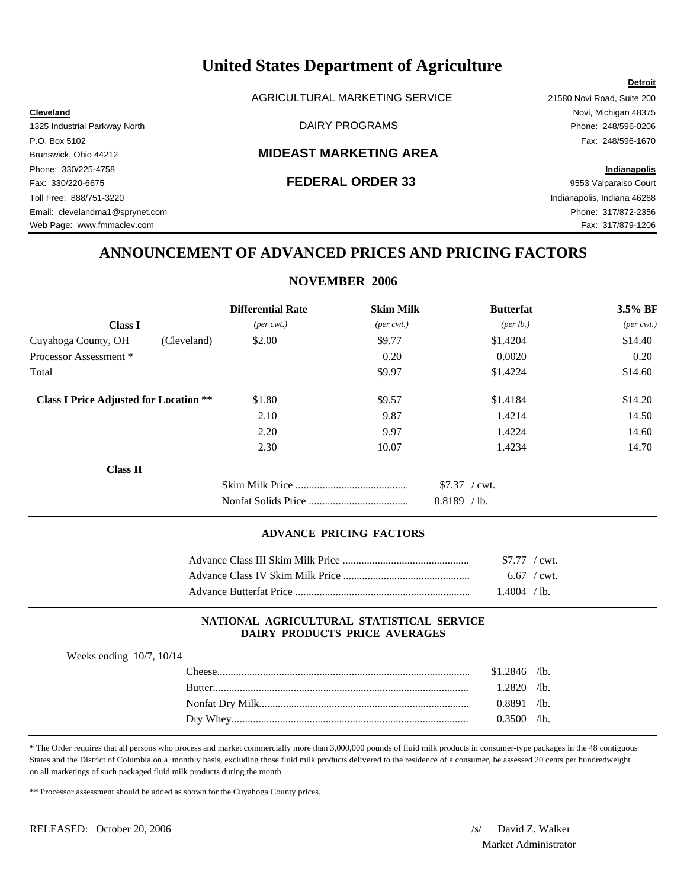AGRICULTURAL MARKETING SERVICE 21580 Novi Road, Suite 200

**Cleveland** Novi, Michigan 48375 1325 Industrial Parkway North **Example 248/596-0206** DAIRY PROGRAMS **Phone: 248/596-0206** 

### P.O. Box 5102 Fax: 248/596-1670 Brunswick, Ohio 44212 **MIDEAST MARKETING AREA**

Fax: 330/220-6675 **FEDERAL ORDER 33** 9553 Valparaiso Court Toll Free: 888/751-3220 Indianapolis, Indiana 46268 Email: clevelandma1@sprynet.com Phone: 317/872-2356 Web Page: www.fmmaclev.com **Fax: 317/879-1206** 

Phone: 330/225-4758 **Indianapolis**

**Detroit**

# **ANNOUNCEMENT OF ADVANCED PRICES AND PRICING FACTORS**

# **NOVEMBER 2006**

|                                               |             | <b>Differential Rate</b>    | <b>Skim Milk</b>            | <b>Butterfat</b>                   | 3.5% BF                     |
|-----------------------------------------------|-------------|-----------------------------|-----------------------------|------------------------------------|-----------------------------|
| <b>Class I</b>                                |             | $(\text{per} \text{ cwt.})$ | $(\text{per} \text{ cwt.})$ | (per lb.)                          | $(\text{per} \text{ cwt.})$ |
| Cuyahoga County, OH                           | (Cleveland) | \$2.00                      | \$9.77                      | \$1.4204                           | \$14.40                     |
| Processor Assessment *                        |             |                             | 0.20                        | 0.0020                             | 0.20                        |
| Total                                         |             |                             | \$9.97                      | \$1.4224                           | \$14.60                     |
| <b>Class I Price Adjusted for Location **</b> |             | \$1.80                      | \$9.57                      | \$1.4184                           | \$14.20                     |
|                                               |             | 2.10                        | 9.87                        | 1.4214                             | 14.50                       |
|                                               |             | 2.20                        | 9.97                        | 1.4224                             | 14.60                       |
|                                               |             | 2.30                        | 10.07                       | 1.4234                             | 14.70                       |
| Class II                                      |             |                             |                             |                                    |                             |
|                                               |             |                             |                             | \$7.37 / cwt.<br>0.8189<br>$/$ lb. |                             |

### **ADVANCE PRICING FACTORS**

| $$7.77$ / cwt. |  |
|----------------|--|
| $6.67$ / cwt.  |  |
| $1.4004$ / lb. |  |

### **NATIONAL AGRICULTURAL STATISTICAL SERVICE DAIRY PRODUCTS PRICE AVERAGES**

| Weeks ending $10/7$ , $10/14$ |  |
|-------------------------------|--|
|-------------------------------|--|

| `heese      | \$1.2846 | $\sqrt{1}b$ . |
|-------------|----------|---------------|
| Rutter      | .2820    | $\sqrt{1}$    |
|             | 0.8891   | $\sqrt{1}$    |
| Whey<br>Drv | 3500     | $\sqrt{1}$    |

\* The Order requires that all persons who process and market commercially more than 3,000,000 pounds of fluid milk products in consumer-type packages in the 48 contiguous States and the District of Columbia on a monthly basis, excluding those fluid milk products delivered to the residence of a consumer, be assessed 20 cents per hundredweight on all marketings of such packaged fluid milk products during the month.

\*\* Processor assessment should be added as shown for the Cuyahoga County prices.